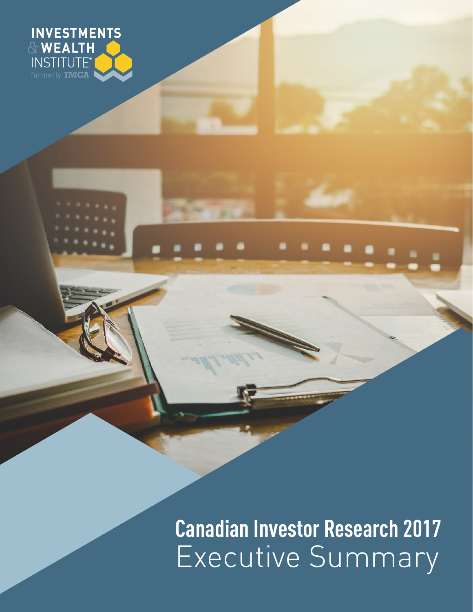

**Canadian Investor Research 2017** Executive Summary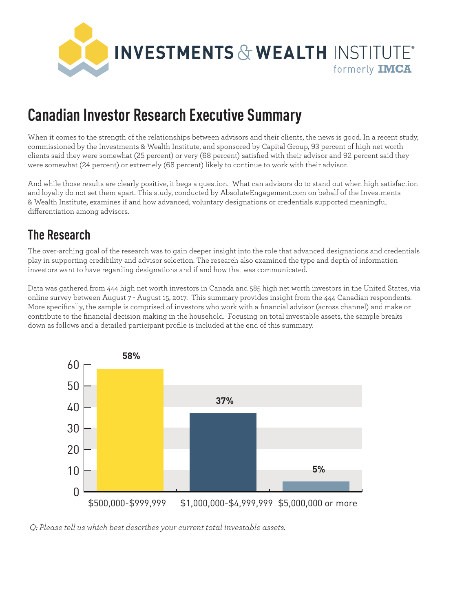

# **Canadian Investor Research Executive Summary**

When it comes to the strength of the relationships between advisors and their clients, the news is good. In a recent study, commissioned by the Investments & Wealth Institute, and sponsored by Capital Group, 93 percent of high net worth clients said they were somewhat (25 percent) or very (68 percent) satisfied with their advisor and 92 percent said they were somewhat (24 percent) or extremely (68 percent) likely to continue to work with their advisor.

And while those results are clearly positive, it begs a question. What can advisors do to stand out when high satisfaction and loyalty do not set them apart. This study, conducted by AbsoluteEngagement.com on behalf of the Investments & Wealth Institute, examines if and how advanced, voluntary designations or credentials supported meaningful differentiation among advisors.

### **The Research**

The over-arching goal of the research was to gain deeper insight into the role that advanced designations and credentials play in supporting credibility and advisor selection. The research also examined the type and depth of information investors want to have regarding designations and if and how that was communicated.

Data was gathered from 444 high net worth investors in Canada and 585 high net worth investors in the United States, via online survey between August 7 - August 15, 2017. This summary provides insight from the 444 Canadian respondents. More specifically, the sample is comprised of investors who work with a financial advisor (across channel) and make or contribute to the financial decision making in the household. Focusing on total investable assets, the sample breaks down as follows and a detailed participant profile is included at the end of this summary.



 *Q: Please tell us which best describes your current total investable assets.*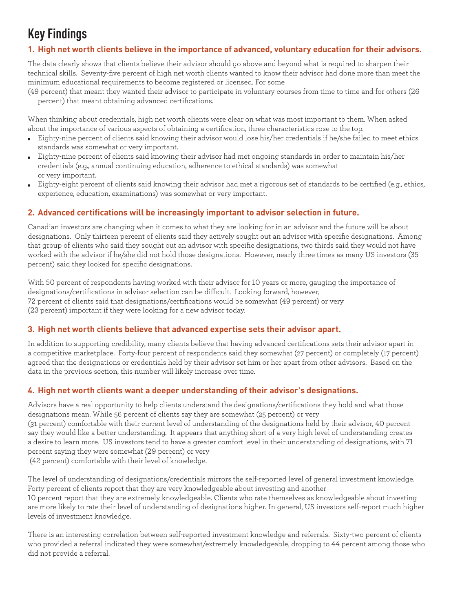## **Key Findings**

### **1. High net worth clients believe in the importance of advanced, voluntary education for their advisors.**

The data clearly shows that clients believe their advisor should go above and beyond what is required to sharpen their technical skills. Seventy-five percent of high net worth clients wanted to know their advisor had done more than meet the minimum educational requirements to become registered or licensed. For some

(49 percent) that meant they wanted their advisor to participate in voluntary courses from time to time and for others (26 percent) that meant obtaining advanced certifications.

When thinking about credentials, high net worth clients were clear on what was most important to them. When asked about the importance of various aspects of obtaining a certification, three characteristics rose to the top.

- Eighty-nine percent of clients said knowing their advisor would lose his/her credentials if he/she failed to meet ethics standards was somewhat or very important.
- Eighty-nine percent of clients said knowing their advisor had met ongoing standards in order to maintain his/her credentials (e.g., annual continuing education, adherence to ethical standards) was somewhat or very important.
- Eighty-eight percent of clients said knowing their advisor had met a rigorous set of standards to be certified (e.g., ethics, experience, education, examinations) was somewhat or very important.

#### **2. Advanced certifications will be increasingly important to advisor selection in future.**

Canadian investors are changing when it comes to what they are looking for in an advisor and the future will be about designations. Only thirteen percent of clients said they actively sought out an advisor with specific designations. Among that group of clients who said they sought out an advisor with specific designations, two thirds said they would not have worked with the advisor if he/she did not hold those designations. However, nearly three times as many US investors (35 percent) said they looked for specific designations.

With 50 percent of respondents having worked with their advisor for 10 years or more, gauging the importance of designations/certifications in advisor selection can be difficult. Looking forward, however, 72 percent of clients said that designations/certifications would be somewhat (49 percent) or very (23 percent) important if they were looking for a new advisor today.

#### **3. High net worth clients believe that advanced expertise sets their advisor apart.**

In addition to supporting credibility, many clients believe that having advanced certifications sets their advisor apart in a competitive marketplace. Forty-four percent of respondents said they somewhat (27 percent) or completely (17 percent) agreed that the designations or credentials held by their advisor set him or her apart from other advisors. Based on the data in the previous section, this number will likely increase over time.

#### **4. High net worth clients want a deeper understanding of their advisor's designations.**

Advisors have a real opportunity to help clients understand the designations/certifications they hold and what those designations mean. While 56 percent of clients say they are somewhat (25 percent) or very (31 percent) comfortable with their current level of understanding of the designations held by their advisor, 40 percent say they would like a better understanding. It appears that anything short of a very high level of understanding creates a desire to learn more. US investors tend to have a greater comfort level in their understanding of designations, with 71 percent saying they were somewhat (29 percent) or very (42 percent) comfortable with their level of knowledge.

The level of understanding of designations/credentials mirrors the self-reported level of general investment knowledge. Forty percent of clients report that they are very knowledgeable about investing and another 10 percent report that they are extremely knowledgeable. Clients who rate themselves as knowledgeable about investing are more likely to rate their level of understanding of designations higher. In general, US investors self-report much higher levels of investment knowledge.

There is an interesting correlation between self-reported investment knowledge and referrals. Sixty-two percent of clients who provided a referral indicated they were somewhat/extremely knowledgeable, dropping to 44 percent among those who did not provide a referral.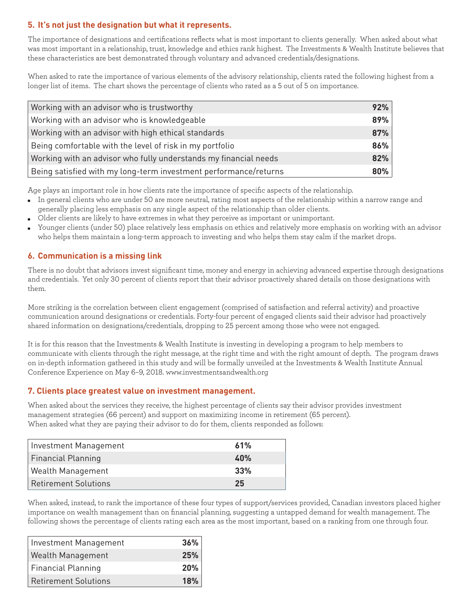#### **5. It's not just the designation but what it represents.**

The importance of designations and certifications reflects what is most important to clients generally. When asked about what was most important in a relationship, trust, knowledge and ethics rank highest. The Investments & Wealth Institute believes that these characteristics are best demonstrated through voluntary and advanced credentials/designations.

When asked to rate the importance of various elements of the advisory relationship, clients rated the following highest from a longer list of items. The chart shows the percentage of clients who rated as a 5 out of 5 on importance.

| Working with an advisor who is trustworthy                       | 92% |
|------------------------------------------------------------------|-----|
| Working with an advisor who is knowledgeable                     | 89% |
| Working with an advisor with high ethical standards              | 87% |
| Being comfortable with the level of risk in my portfolio         | 86% |
| Working with an advisor who fully understands my financial needs | 82% |
| Being satisfied with my long-term investment performance/returns | 80% |

Age plays an important role in how clients rate the importance of specific aspects of the relationship.

- In general clients who are under 50 are more neutral, rating most aspects of the relationship within a narrow range and generally placing less emphasis on any single aspect of the relationship than older clients.
- Older clients are likely to have extremes in what they perceive as important or unimportant.
- Younger clients (under 50) place relatively less emphasis on ethics and relatively more emphasis on working with an advisor who helps them maintain a long-term approach to investing and who helps them stay calm if the market drops.

#### **6. Communication is a missing link**

There is no doubt that advisors invest significant time, money and energy in achieving advanced expertise through designations and credentials. Yet only 30 percent of clients report that their advisor proactively shared details on those designations with them.

More striking is the correlation between client engagement (comprised of satisfaction and referral activity) and proactive communication around designations or credentials. Forty-four percent of engaged clients said their advisor had proactively shared information on designations/credentials, dropping to 25 percent among those who were not engaged.

It is for this reason that the Investments & Wealth Institute is investing in developing a program to help members to communicate with clients through the right message, at the right time and with the right amount of depth. The program draws on in-depth information gathered in this study and will be formally unveiled at the Investments & Wealth Institute Annual Conference Experience on May 6–9, 2018. www.investmentsandwealth.org

#### **7. Clients place greatest value on investment management.**

When asked about the services they receive, the highest percentage of clients say their advisor provides investment management strategies (66 percent) and support on maximizing income in retirement (65 percent). When asked what they are paying their advisor to do for them, clients responded as follows:

| Investment Management       | 61% |
|-----------------------------|-----|
| <b>Financial Planning</b>   | 40% |
| Wealth Management           | 33% |
| <b>Retirement Solutions</b> | 25  |

When asked, instead, to rank the importance of these four types of support/services provided, Canadian investors placed higher importance on wealth management than on financial planning, suggesting a untapped demand for wealth management. The following shows the percentage of clients rating each area as the most important, based on a ranking from one through four.

| Investment Management    | 36% |
|--------------------------|-----|
| <b>Wealth Management</b> | 25% |
| Financial Planning       | 20% |
| Retirement Solutions     | 18% |